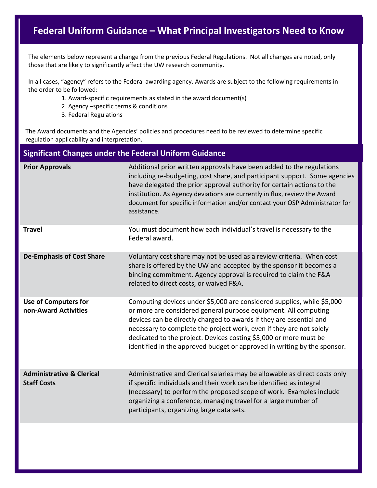## **Federal Uniform Guidance – What Principal Investigators Need to Know**

The elements below represent a change from the previous Federal Regulations. Not all changes are noted, only those that are likely to significantly affect the UW research community.

In all cases, "agency" refers to the Federal awarding agency. Awards are subject to the following requirements in the order to be followed:

- 1. Award-specific requirements as stated in the award document(s)
- 2. Agency –specific terms & conditions
- 3. Federal Regulations

The Award documents and the Agencies' policies and procedures need to be reviewed to determine specific regulation applicability and interpretation.

## **Significant Changes under the Federal Uniform Guidance**

| <b>Prior Approvals</b>                                     | Additional prior written approvals have been added to the regulations<br>including re-budgeting, cost share, and participant support. Some agencies<br>have delegated the prior approval authority for certain actions to the<br>institution. As Agency deviations are currently in flux, review the Award<br>document for specific information and/or contact your OSP Administrator for<br>assistance.                                 |
|------------------------------------------------------------|------------------------------------------------------------------------------------------------------------------------------------------------------------------------------------------------------------------------------------------------------------------------------------------------------------------------------------------------------------------------------------------------------------------------------------------|
| <b>Travel</b>                                              | You must document how each individual's travel is necessary to the<br>Federal award.                                                                                                                                                                                                                                                                                                                                                     |
| <b>De-Emphasis of Cost Share</b>                           | Voluntary cost share may not be used as a review criteria. When cost<br>share is offered by the UW and accepted by the sponsor it becomes a<br>binding commitment. Agency approval is required to claim the F&A<br>related to direct costs, or waived F&A.                                                                                                                                                                               |
| <b>Use of Computers for</b><br>non-Award Activities        | Computing devices under \$5,000 are considered supplies, while \$5,000<br>or more are considered general purpose equipment. All computing<br>devices can be directly charged to awards if they are essential and<br>necessary to complete the project work, even if they are not solely<br>dedicated to the project. Devices costing \$5,000 or more must be<br>identified in the approved budget or approved in writing by the sponsor. |
| <b>Administrative &amp; Clerical</b><br><b>Staff Costs</b> | Administrative and Clerical salaries may be allowable as direct costs only<br>if specific individuals and their work can be identified as integral<br>(necessary) to perform the proposed scope of work. Examples include<br>organizing a conference, managing travel for a large number of<br>participants, organizing large data sets.                                                                                                 |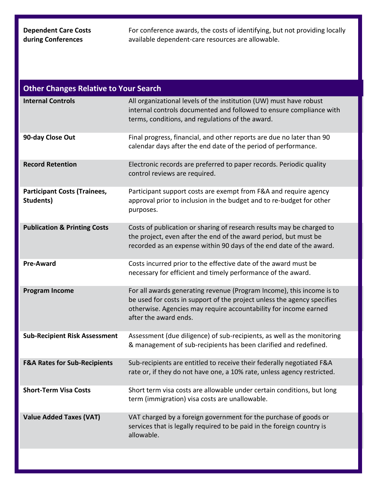## **Dependent Care Costs during Conferences**

For conference awards, the costs of identifying, but not providing locally available dependent-care resources are allowable.

| <b>Other Changes Relative to Your Search</b>     |                                                                                                                                                                                                                                               |  |  |
|--------------------------------------------------|-----------------------------------------------------------------------------------------------------------------------------------------------------------------------------------------------------------------------------------------------|--|--|
| <b>Internal Controls</b>                         | All organizational levels of the institution (UW) must have robust<br>internal controls documented and followed to ensure compliance with<br>terms, conditions, and regulations of the award.                                                 |  |  |
| 90-day Close Out                                 | Final progress, financial, and other reports are due no later than 90<br>calendar days after the end date of the period of performance.                                                                                                       |  |  |
| <b>Record Retention</b>                          | Electronic records are preferred to paper records. Periodic quality<br>control reviews are required.                                                                                                                                          |  |  |
| <b>Participant Costs (Trainees,</b><br>Students) | Participant support costs are exempt from F&A and require agency<br>approval prior to inclusion in the budget and to re-budget for other<br>purposes.                                                                                         |  |  |
| <b>Publication &amp; Printing Costs</b>          | Costs of publication or sharing of research results may be charged to<br>the project, even after the end of the award period, but must be<br>recorded as an expense within 90 days of the end date of the award.                              |  |  |
| <b>Pre-Award</b>                                 | Costs incurred prior to the effective date of the award must be<br>necessary for efficient and timely performance of the award.                                                                                                               |  |  |
| <b>Program Income</b>                            | For all awards generating revenue (Program Income), this income is to<br>be used for costs in support of the project unless the agency specifies<br>otherwise. Agencies may require accountability for income earned<br>after the award ends. |  |  |
| <b>Sub-Recipient Risk Assessment</b>             | Assessment (due diligence) of sub-recipients, as well as the monitoring<br>& management of sub-recipients has been clarified and redefined.                                                                                                   |  |  |
| <b>F&amp;A Rates for Sub-Recipients</b>          | Sub-recipients are entitled to receive their federally negotiated F&A<br>rate or, if they do not have one, a 10% rate, unless agency restricted.                                                                                              |  |  |
| <b>Short-Term Visa Costs</b>                     | Short term visa costs are allowable under certain conditions, but long<br>term (immigration) visa costs are unallowable.                                                                                                                      |  |  |
| <b>Value Added Taxes (VAT)</b>                   | VAT charged by a foreign government for the purchase of goods or<br>services that is legally required to be paid in the foreign country is<br>allowable.                                                                                      |  |  |